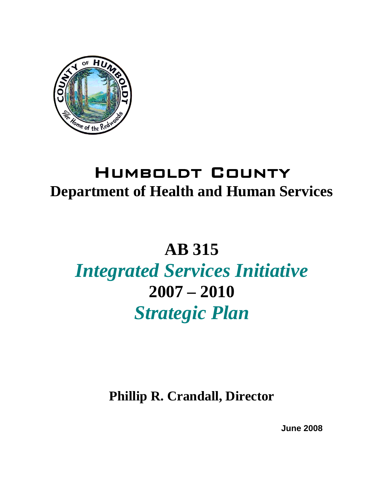

### Humboldt County **Department of Health and Human Services**

## **AB 315**

# *Integrated Services Initiative*  **2007 – 2010**  *Strategic Plan*

**Phillip R. Crandall, Director** 

 **June 2008**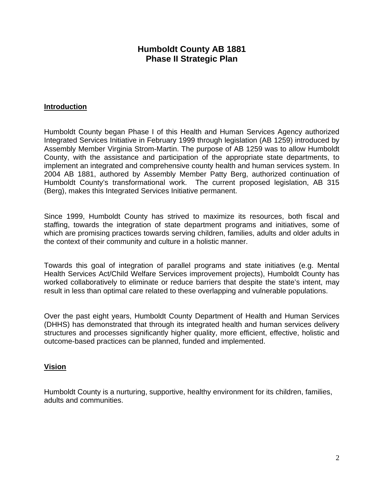#### **Humboldt County AB 1881 Phase II Strategic Plan**

#### **Introduction**

Humboldt County began Phase I of this Health and Human Services Agency authorized Integrated Services Initiative in February 1999 through legislation (AB 1259) introduced by Assembly Member Virginia Strom-Martin. The purpose of AB 1259 was to allow Humboldt County, with the assistance and participation of the appropriate state departments, to implement an integrated and comprehensive county health and human services system. In 2004 AB 1881, authored by Assembly Member Patty Berg, authorized continuation of Humboldt County's transformational work. The current proposed legislation, AB 315 (Berg), makes this Integrated Services Initiative permanent.

Since 1999, Humboldt County has strived to maximize its resources, both fiscal and staffing, towards the integration of state department programs and initiatives, some of which are promising practices towards serving children, families, adults and older adults in the context of their community and culture in a holistic manner.

Towards this goal of integration of parallel programs and state initiatives (e.g. Mental Health Services Act/Child Welfare Services improvement projects), Humboldt County has worked collaboratively to eliminate or reduce barriers that despite the state's intent, may result in less than optimal care related to these overlapping and vulnerable populations.

Over the past eight years, Humboldt County Department of Health and Human Services (DHHS) has demonstrated that through its integrated health and human services delivery structures and processes significantly higher quality, more efficient, effective, holistic and outcome-based practices can be planned, funded and implemented.

#### **Vision**

Humboldt County is a nurturing, supportive, healthy environment for its children, families, adults and communities.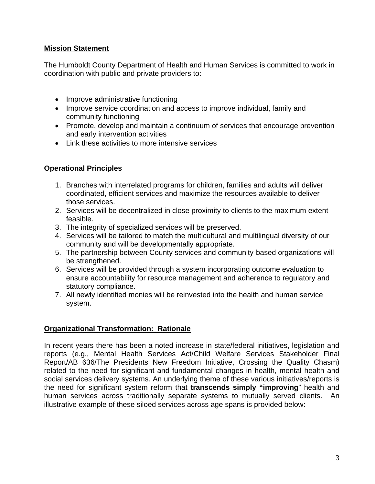#### **Mission Statement**

The Humboldt County Department of Health and Human Services is committed to work in coordination with public and private providers to:

- Improve administrative functioning
- Improve service coordination and access to improve individual, family and community functioning
- Promote, develop and maintain a continuum of services that encourage prevention and early intervention activities
- Link these activities to more intensive services

#### **Operational Principles**

- 1. Branches with interrelated programs for children, families and adults will deliver coordinated, efficient services and maximize the resources available to deliver those services.
- 2. Services will be decentralized in close proximity to clients to the maximum extent feasible.
- 3. The integrity of specialized services will be preserved.
- 4. Services will be tailored to match the multicultural and multilingual diversity of our community and will be developmentally appropriate.
- 5. The partnership between County services and community-based organizations will be strengthened.
- 6. Services will be provided through a system incorporating outcome evaluation to ensure accountability for resource management and adherence to regulatory and statutory compliance.
- 7. All newly identified monies will be reinvested into the health and human service system.

#### **Organizational Transformation: Rationale**

In recent years there has been a noted increase in state/federal initiatives, legislation and reports (e.g., Mental Health Services Act/Child Welfare Services Stakeholder Final Report/AB 636/The Presidents New Freedom Initiative, Crossing the Quality Chasm) related to the need for significant and fundamental changes in health, mental health and social services delivery systems. An underlying theme of these various initiatives/reports is the need for significant system reform that **transcends simply "improving**" health and human services across traditionally separate systems to mutually served clients. An illustrative example of these siloed services across age spans is provided below: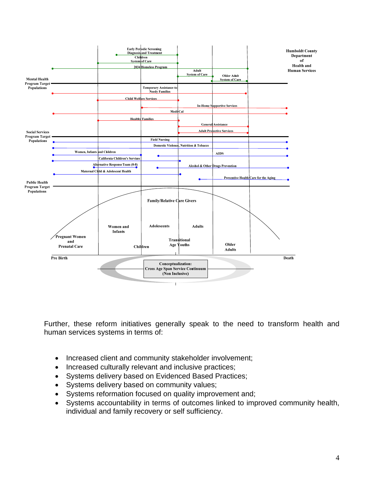

Further, these reform initiatives generally speak to the need to transform health and human services systems in terms of:

- Increased client and community stakeholder involvement;
- Increased culturally relevant and inclusive practices;
- Systems delivery based on Evidenced Based Practices;
- Systems delivery based on community values;
- Systems reformation focused on quality improvement and;
- Systems accountability in terms of outcomes linked to improved community health, individual and family recovery or self sufficiency.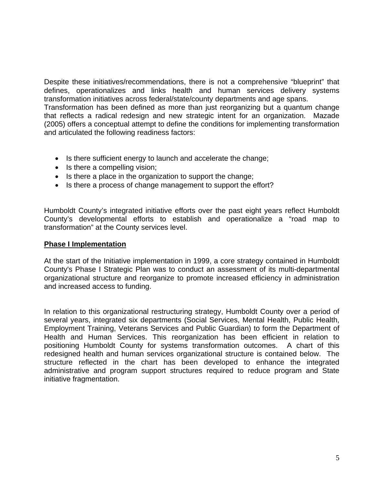Despite these initiatives/recommendations, there is not a comprehensive "blueprint" that defines, operationalizes and links health and human services delivery systems transformation initiatives across federal/state/county departments and age spans. Transformation has been defined as more than just reorganizing but a quantum change that reflects a radical redesign and new strategic intent for an organization. Mazade (2005) offers a conceptual attempt to define the conditions for implementing transformation and articulated the following readiness factors:

- Is there sufficient energy to launch and accelerate the change;
- Is there a compelling vision;
- Is there a place in the organization to support the change;
- Is there a process of change management to support the effort?

Humboldt County's integrated initiative efforts over the past eight years reflect Humboldt County's developmental efforts to establish and operationalize a "road map to transformation" at the County services level.

#### **Phase I Implementation**

At the start of the Initiative implementation in 1999, a core strategy contained in Humboldt County's Phase I Strategic Plan was to conduct an assessment of its multi-departmental organizational structure and reorganize to promote increased efficiency in administration and increased access to funding.

In relation to this organizational restructuring strategy, Humboldt County over a period of several years, integrated six departments (Social Services, Mental Health, Public Health, Employment Training, Veterans Services and Public Guardian) to form the Department of Health and Human Services. This reorganization has been efficient in relation to positioning Humboldt County for systems transformation outcomes. A chart of this redesigned health and human services organizational structure is contained below. The structure reflected in the chart has been developed to enhance the integrated administrative and program support structures required to reduce program and State initiative fragmentation.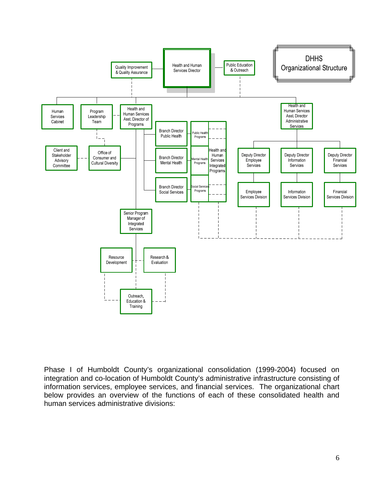

Phase I of Humboldt County's organizational consolidation (1999-2004) focused on integration and co-location of Humboldt County's administrative infrastructure consisting of information services, employee services, and financial services. The organizational chart below provides an overview of the functions of each of these consolidated health and human services administrative divisions: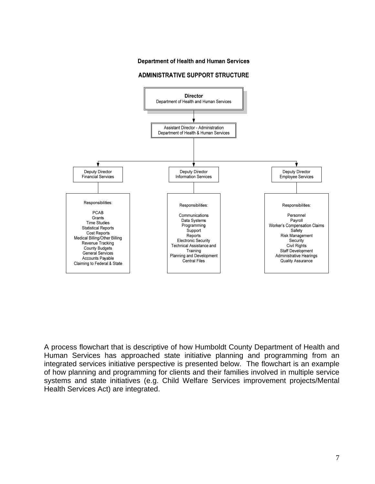#### **Department of Health and Human Services**

#### **ADMINISTRATIVE SUPPORT STRUCTURE**



A process flowchart that is descriptive of how Humboldt County Department of Health and Human Services has approached state initiative planning and programming from an integrated services initiative perspective is presented below. The flowchart is an example of how planning and programming for clients and their families involved in multiple service systems and state initiatives (e.g. Child Welfare Services improvement projects/Mental Health Services Act) are integrated.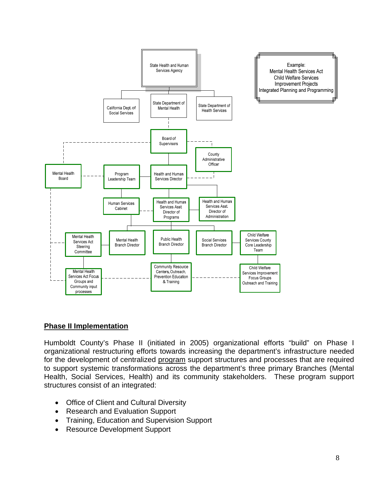

#### **Phase II Implementation**

Humboldt County's Phase II (initiated in 2005) organizational efforts "build" on Phase I organizational restructuring efforts towards increasing the department's infrastructure needed for the development of centralized program support structures and processes that are required to support systemic transformations across the department's three primary Branches (Mental Health, Social Services, Health) and its community stakeholders. These program support structures consist of an integrated:

- Office of Client and Cultural Diversity
- Research and Evaluation Support
- Training, Education and Supervision Support
- Resource Development Support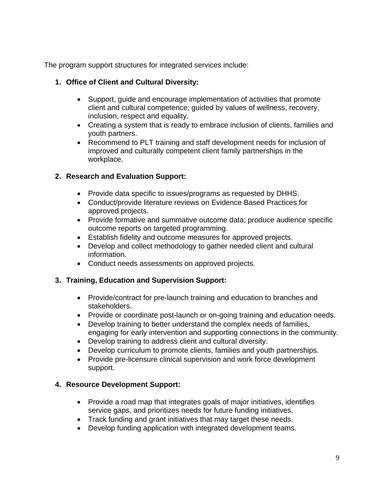The program support structures for integrated services include:

#### **1. Office of Client and Cultural Diversity:**

- Support, guide and encourage implementation of activities that promote client and cultural competence; guided by values of wellness, recovery, inclusion, respect and equality.
- Creating a system that is ready to embrace inclusion of clients, families and youth partners.
- Recommend to PLT training and staff development needs for inclusion of improved and culturally competent client family partnerships in the workplace.

#### **2. Research and Evaluation Support:**

- Provide data specific to issues/programs as requested by DHHS.
- Conduct/provide literature reviews on Evidence Based Practices for approved projects.
- Provide formative and summative outcome data; produce audience specific outcome reports on targeted programming.
- Establish fidelity and outcome measures for approved projects.
- Develop and collect methodology to gather needed client and cultural information.
- Conduct needs assessments on approved projects.

#### **3. Training, Education and Supervision Support:**

- Provide/contract for pre-launch training and education to branches and stakeholders.
- Provide or coordinate post-launch or on-going training and education needs.
- Develop training to better understand the complex needs of families, engaging for early intervention and supporting connections in the community.
- Develop training to address client and cultural diversity.
- Develop curriculum to promote clients, families and youth partnerships.
- Provide pre-licensure clinical supervision and work force development support.

#### **4. Resource Development Support:**

- Provide a road map that integrates goals of major initiatives, identifies service gaps, and prioritizes needs for future funding initiatives.
- Track funding and grant initiatives that may target these needs.
- Develop funding application with integrated development teams.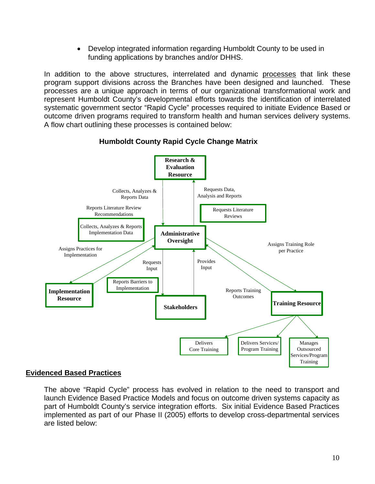• Develop integrated information regarding Humboldt County to be used in funding applications by branches and/or DHHS.

In addition to the above structures, interrelated and dynamic processes that link these program support divisions across the Branches have been designed and launched. These processes are a unique approach in terms of our organizational transformational work and represent Humboldt County's developmental efforts towards the identification of interrelated systematic government sector "Rapid Cycle" processes required to initiate Evidence Based or outcome driven programs required to transform health and human services delivery systems. A flow chart outlining these processes is contained below:



 **Humboldt County Rapid Cycle Change Matrix** 

#### **Evidenced Based Practices**

The above "Rapid Cycle" process has evolved in relation to the need to transport and launch Evidence Based Practice Models and focus on outcome driven systems capacity as part of Humboldt County's service integration efforts. Six initial Evidence Based Practices implemented as part of our Phase II (2005) efforts to develop cross-departmental services are listed below: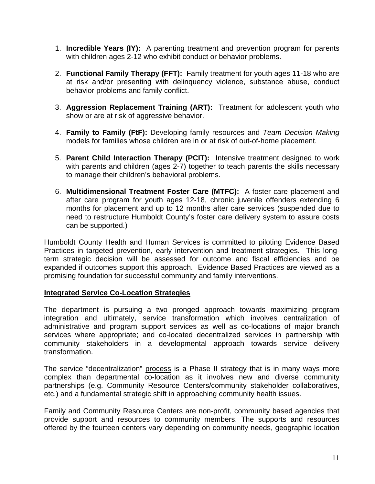- 1. **Incredible Years (IY):** A parenting treatment and prevention program for parents with children ages 2-12 who exhibit conduct or behavior problems.
- 2. **Functional Family Therapy (FFT):** Family treatment for youth ages 11-18 who are at risk and/or presenting with delinquency violence, substance abuse, conduct behavior problems and family conflict.
- 3. **Aggression Replacement Training (ART):** Treatment for adolescent youth who show or are at risk of aggressive behavior.
- 4. **Family to Family (FtF):** Developing family resources and *Team Decision Making*  models for families whose children are in or at risk of out-of-home placement.
- 5. **Parent Child Interaction Therapy (PCIT):** Intensive treatment designed to work with parents and children (ages 2-7) together to teach parents the skills necessary to manage their children's behavioral problems.
- 6. **Multidimensional Treatment Foster Care (MTFC):** A foster care placement and after care program for youth ages 12-18, chronic juvenile offenders extending 6 months for placement and up to 12 months after care services (suspended due to need to restructure Humboldt County's foster care delivery system to assure costs can be supported.)

Humboldt County Health and Human Services is committed to piloting Evidence Based Practices in targeted prevention, early intervention and treatment strategies. This longterm strategic decision will be assessed for outcome and fiscal efficiencies and be expanded if outcomes support this approach. Evidence Based Practices are viewed as a promising foundation for successful community and family interventions.

#### **Integrated Service Co-Location Strategies**

The department is pursuing a two pronged approach towards maximizing program integration and ultimately, service transformation which involves centralization of administrative and program support services as well as co-locations of major branch services where appropriate; and co-located decentralized services in partnership with community stakeholders in a developmental approach towards service delivery transformation.

The service "decentralization" process is a Phase II strategy that is in many ways more complex than departmental co-location as it involves new and diverse community partnerships (e.g. Community Resource Centers/community stakeholder collaboratives, etc.) and a fundamental strategic shift in approaching community health issues.

Family and Community Resource Centers are non-profit, community based agencies that provide support and resources to community members. The supports and resources offered by the fourteen centers vary depending on community needs, geographic location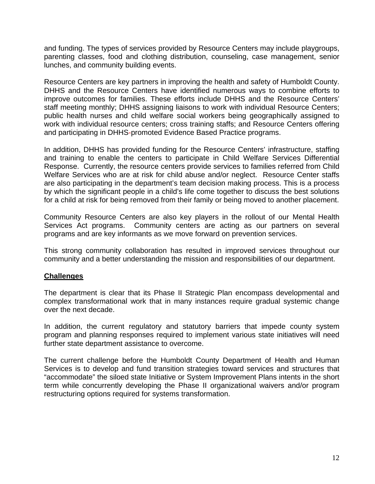and funding. The types of services provided by Resource Centers may include playgroups, parenting classes, food and clothing distribution, counseling, case management, senior lunches, and community building events.

Resource Centers are key partners in improving the health and safety of Humboldt County. DHHS and the Resource Centers have identified numerous ways to combine efforts to improve outcomes for families. These efforts include DHHS and the Resource Centers' staff meeting monthly; DHHS assigning liaisons to work with individual Resource Centers; public health nurses and child welfare social workers being geographically assigned to work with individual resource centers; cross training staffs; and Resource Centers offering and participating in DHHS-promoted Evidence Based Practice programs.

In addition, DHHS has provided funding for the Resource Centers' infrastructure, staffing and training to enable the centers to participate in Child Welfare Services Differential Response. Currently, the resource centers provide services to families referred from Child Welfare Services who are at risk for child abuse and/or neglect. Resource Center staffs are also participating in the department's team decision making process. This is a process by which the significant people in a child's life come together to discuss the best solutions for a child at risk for being removed from their family or being moved to another placement.

Community Resource Centers are also key players in the rollout of our Mental Health Services Act programs. Community centers are acting as our partners on several programs and are key informants as we move forward on prevention services.

This strong community collaboration has resulted in improved services throughout our community and a better understanding the mission and responsibilities of our department.

#### **Challenges**

The department is clear that its Phase II Strategic Plan encompass developmental and complex transformational work that in many instances require gradual systemic change over the next decade.

In addition, the current regulatory and statutory barriers that impede county system program and planning responses required to implement various state initiatives will need further state department assistance to overcome.

The current challenge before the Humboldt County Department of Health and Human Services is to develop and fund transition strategies toward services and structures that "accommodate" the siloed state Initiative or System Improvement Plans intents in the short term while concurrently developing the Phase II organizational waivers and/or program restructuring options required for systems transformation.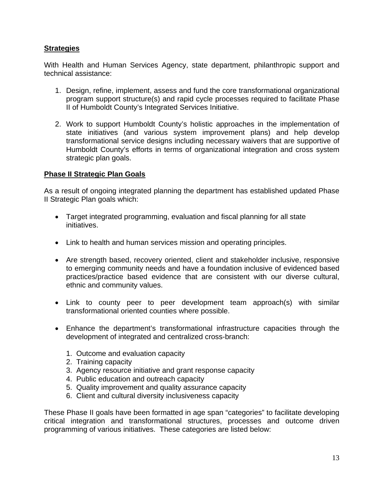#### **Strategies**

With Health and Human Services Agency, state department, philanthropic support and technical assistance:

- 1. Design, refine, implement, assess and fund the core transformational organizational program support structure(s) and rapid cycle processes required to facilitate Phase II of Humboldt County's Integrated Services Initiative.
- 2. Work to support Humboldt County's holistic approaches in the implementation of state initiatives (and various system improvement plans) and help develop transformational service designs including necessary waivers that are supportive of Humboldt County's efforts in terms of organizational integration and cross system strategic plan goals.

#### **Phase II Strategic Plan Goals**

As a result of ongoing integrated planning the department has established updated Phase II Strategic Plan goals which:

- Target integrated programming, evaluation and fiscal planning for all state initiatives.
- Link to health and human services mission and operating principles.
- Are strength based, recovery oriented, client and stakeholder inclusive, responsive to emerging community needs and have a foundation inclusive of evidenced based practices/practice based evidence that are consistent with our diverse cultural, ethnic and community values.
- Link to county peer to peer development team approach(s) with similar transformational oriented counties where possible.
- Enhance the department's transformational infrastructure capacities through the development of integrated and centralized cross-branch:
	- 1. Outcome and evaluation capacity
	- 2. Training capacity
	- 3. Agency resource initiative and grant response capacity
	- 4. Public education and outreach capacity
	- 5. Quality improvement and quality assurance capacity
	- 6. Client and cultural diversity inclusiveness capacity

These Phase II goals have been formatted in age span "categories" to facilitate developing critical integration and transformational structures, processes and outcome driven programming of various initiatives. These categories are listed below: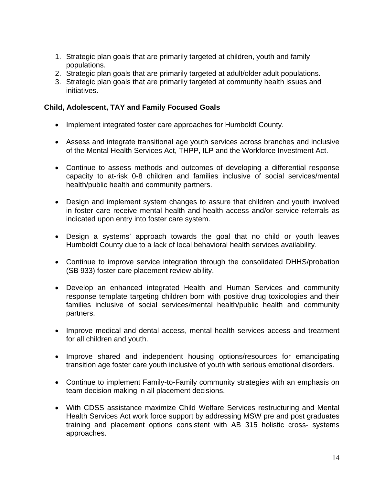- 1. Strategic plan goals that are primarily targeted at children, youth and family populations.
- 2. Strategic plan goals that are primarily targeted at adult/older adult populations.
- 3. Strategic plan goals that are primarily targeted at community health issues and initiatives.

#### **Child, Adolescent, TAY and Family Focused Goals**

- Implement integrated foster care approaches for Humboldt County.
- Assess and integrate transitional age youth services across branches and inclusive of the Mental Health Services Act, THPP, ILP and the Workforce Investment Act.
- Continue to assess methods and outcomes of developing a differential response capacity to at-risk 0-8 children and families inclusive of social services/mental health/public health and community partners.
- Design and implement system changes to assure that children and youth involved in foster care receive mental health and health access and/or service referrals as indicated upon entry into foster care system.
- Design a systems' approach towards the goal that no child or youth leaves Humboldt County due to a lack of local behavioral health services availability.
- Continue to improve service integration through the consolidated DHHS/probation (SB 933) foster care placement review ability.
- Develop an enhanced integrated Health and Human Services and community response template targeting children born with positive drug toxicologies and their families inclusive of social services/mental health/public health and community partners.
- Improve medical and dental access, mental health services access and treatment for all children and youth.
- Improve shared and independent housing options/resources for emancipating transition age foster care youth inclusive of youth with serious emotional disorders.
- Continue to implement Family-to-Family community strategies with an emphasis on team decision making in all placement decisions.
- With CDSS assistance maximize Child Welfare Services restructuring and Mental Health Services Act work force support by addressing MSW pre and post graduates training and placement options consistent with AB 315 holistic cross- systems approaches.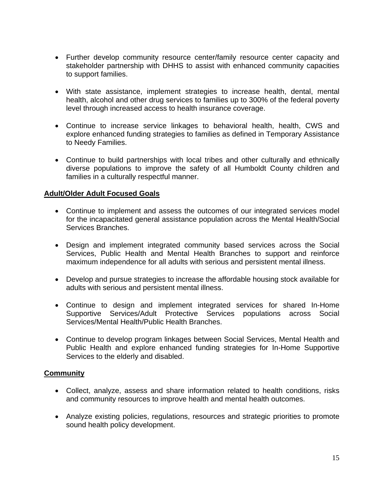- Further develop community resource center/family resource center capacity and stakeholder partnership with DHHS to assist with enhanced community capacities to support families.
- With state assistance, implement strategies to increase health, dental, mental health, alcohol and other drug services to families up to 300% of the federal poverty level through increased access to health insurance coverage.
- Continue to increase service linkages to behavioral health, health, CWS and explore enhanced funding strategies to families as defined in Temporary Assistance to Needy Families.
- Continue to build partnerships with local tribes and other culturally and ethnically diverse populations to improve the safety of all Humboldt County children and families in a culturally respectful manner.

#### **Adult/Older Adult Focused Goals**

- Continue to implement and assess the outcomes of our integrated services model for the incapacitated general assistance population across the Mental Health/Social Services Branches.
- Design and implement integrated community based services across the Social Services, Public Health and Mental Health Branches to support and reinforce maximum independence for all adults with serious and persistent mental illness.
- Develop and pursue strategies to increase the affordable housing stock available for adults with serious and persistent mental illness.
- Continue to design and implement integrated services for shared In-Home Supportive Services/Adult Protective Services populations across Social Services/Mental Health/Public Health Branches.
- Continue to develop program linkages between Social Services, Mental Health and Public Health and explore enhanced funding strategies for In-Home Supportive Services to the elderly and disabled.

#### **Community**

- Collect, analyze, assess and share information related to health conditions, risks and community resources to improve health and mental health outcomes.
- Analyze existing policies, regulations, resources and strategic priorities to promote sound health policy development.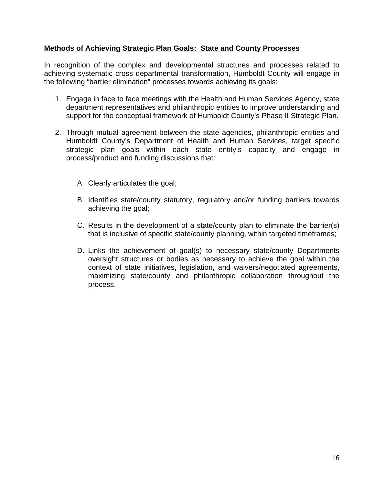#### **Methods of Achieving Strategic Plan Goals: State and County Processes**

In recognition of the complex and developmental structures and processes related to achieving systematic cross departmental transformation, Humboldt County will engage in the following "barrier elimination" processes towards achieving its goals:

- 1. Engage in face to face meetings with the Health and Human Services Agency, state department representatives and philanthropic entities to improve understanding and support for the conceptual framework of Humboldt County's Phase II Strategic Plan.
- 2. Through mutual agreement between the state agencies, philanthropic entities and Humboldt County's Department of Health and Human Services, target specific strategic plan goals within each state entity's capacity and engage in process/product and funding discussions that:
	- A. Clearly articulates the goal;
	- B. Identifies state/county statutory, regulatory and/or funding barriers towards achieving the goal;
	- C. Results in the development of a state/county plan to eliminate the barrier(s) that is inclusive of specific state/county planning, within targeted timeframes;
	- D. Links the achievement of goal(s) to necessary state/county Departments oversight structures or bodies as necessary to achieve the goal within the context of state initiatives, legislation, and waivers/negotiated agreements, maximizing state/county and philanthropic collaboration throughout the process.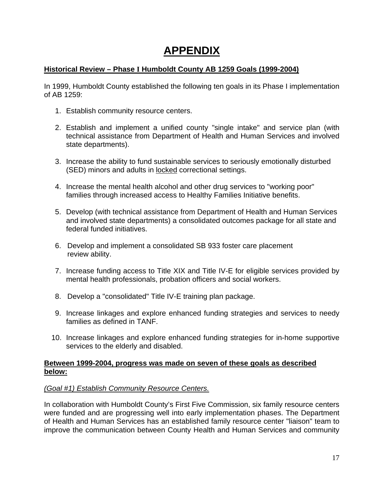### **APPENDIX**

#### **Historical Review – Phase I Humboldt County AB 1259 Goals (1999-2004)**

In 1999, Humboldt County established the following ten goals in its Phase I implementation of AB 1259:

- 1. Establish community resource centers.
- 2. Establish and implement a unified county "single intake" and service plan (with technical assistance from Department of Health and Human Services and involved state departments).
- 3. Increase the ability to fund sustainable services to seriously emotionally disturbed (SED) minors and adults in locked correctional settings.
- 4. Increase the mental health alcohol and other drug services to "working poor" families through increased access to Healthy Families Initiative benefits.
- 5. Develop (with technical assistance from Department of Health and Human Services and involved state departments) a consolidated outcomes package for all state and federal funded initiatives.
- 6. Develop and implement a consolidated SB 933 foster care placement review ability.
- 7. Increase funding access to Title XIX and Title IV-E for eligible services provided by mental health professionals, probation officers and social workers.
- 8. Develop a "consolidated" Title IV-E training plan package.
- 9. Increase linkages and explore enhanced funding strategies and services to needy families as defined in TANF.
- 10. Increase linkages and explore enhanced funding strategies for in-home supportive services to the elderly and disabled.

#### **Between 1999-2004, progress was made on seven of these goals as described below:**

#### *(Goal #1) Establish Community Resource Centers.*

In collaboration with Humboldt County's First Five Commission, six family resource centers were funded and are progressing well into early implementation phases. The Department of Health and Human Services has an established family resource center "liaison" team to improve the communication between County Health and Human Services and community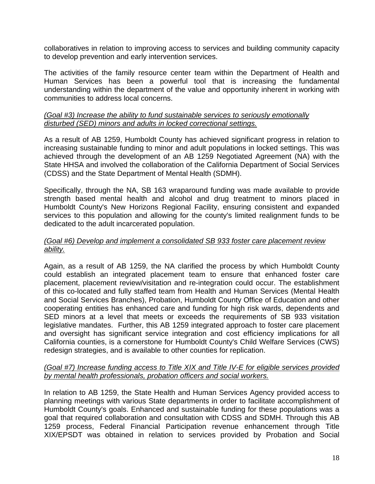collaboratives in relation to improving access to services and building community capacity to develop prevention and early intervention services.

The activities of the family resource center team within the Department of Health and Human Services has been a powerful tool that is increasing the fundamental understanding within the department of the value and opportunity inherent in working with communities to address local concerns.

#### *(Goal #3) Increase the ability to fund sustainable services to seriously emotionally disturbed (SED) minors and adults in locked correctional settings.*

As a result of AB 1259, Humboldt County has achieved significant progress in relation to increasing sustainable funding to minor and adult populations in locked settings. This was achieved through the development of an AB 1259 Negotiated Agreement (NA) with the State HHSA and involved the collaboration of the California Department of Social Services (CDSS) and the State Department of Mental Health (SDMH).

Specifically, through the NA, SB 163 wraparound funding was made available to provide strength based mental health and alcohol and drug treatment to minors placed in Humboldt County's New Horizons Regional Facility, ensuring consistent and expanded services to this population and allowing for the county's limited realignment funds to be dedicated to the adult incarcerated population.

#### *(Goal #6) Develop and implement a consolidated SB 933 foster care placement review ability.*

Again, as a result of AB 1259, the NA clarified the process by which Humboldt County could establish an integrated placement team to ensure that enhanced foster care placement, placement review/visitation and re-integration could occur. The establishment of this co-located and fully staffed team from Health and Human Services (Mental Health and Social Services Branches), Probation, Humboldt County Office of Education and other cooperating entities has enhanced care and funding for high risk wards, dependents and SED minors at a level that meets or exceeds the requirements of SB 933 visitation legislative mandates. Further, this AB 1259 integrated approach to foster care placement and oversight has significant service integration and cost efficiency implications for all California counties, is a cornerstone for Humboldt County's Child Welfare Services (CWS) redesign strategies, and is available to other counties for replication.

#### *(Goal #7) Increase funding access to Title XIX and Title IV-E for eligible services provided by mental health professionals, probation officers and social workers.*

In relation to AB 1259, the State Health and Human Services Agency provided access to planning meetings with various State departments in order to facilitate accomplishment of Humboldt County's goals. Enhanced and sustainable funding for these populations was a goal that required collaboration and consultation with CDSS and SDMH. Through this AB 1259 process, Federal Financial Participation revenue enhancement through Title XIX/EPSDT was obtained in relation to services provided by Probation and Social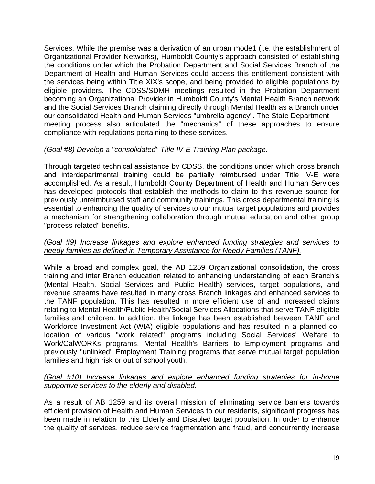Services. While the premise was a derivation of an urban mode1 (i.e. the establishment of Organizational Provider Networks), Humboldt County's approach consisted of establishing the conditions under which the Probation Department and Social Services Branch of the Department of Health and Human Services could access this entitlement consistent with the services being within Title XIX's scope, and being provided to eligible populations by eligible providers. The CDSS/SDMH meetings resulted in the Probation Department becoming an Organizational Provider in Humboldt County's Mental Health Branch network and the Social Services Branch claiming directly through Mental Health as a Branch under our consolidated Health and Human Services "umbrella agency". The State Department meeting process also articulated the "mechanics" of these approaches to ensure compliance with regulations pertaining to these services.

#### *(Goal #8) Develop a "consolidated" Title IV-E Training Plan package.*

Through targeted technical assistance by CDSS, the conditions under which cross branch and interdepartmental training could be partially reimbursed under Title IV-E were accomplished. As a result, Humboldt County Department of Health and Human Services has developed protocols that establish the methods to claim to this revenue source for previously unreimbursed staff and community trainings. This cross departmental training is essential to enhancing the quality of services to our mutual target populations and provides a mechanism for strengthening collaboration through mutual education and other group "process related" benefits.

#### *(Goal #9) Increase linkages and explore enhanced funding strategies and services to needy families as defined in Temporary Assistance for Needy Families (TANF).*

While a broad and complex goal, the AB 1259 Organizational consolidation, the cross training and inter Branch education related to enhancing understanding of each Branch's (Mental Health, Social Services and Public Health) services, target populations, and revenue streams have resulted in many cross Branch linkages and enhanced services to the TANF population. This has resulted in more efficient use of and increased claims relating to Mental Health/Public Health/Social Services Allocations that serve TANF eligible families and children. In addition, the linkage has been established between TANF and Workforce Investment Act (WIA) eligible populations and has resulted in a planned colocation of various "work related" programs including Social Services' Welfare to Work/CalWORKs programs, Mental Health's Barriers to Employment programs and previously "unlinked" Employment Training programs that serve mutual target population families and high risk or out of school youth.

#### *(Goal #10) Increase linkages and explore enhanced funding strategies for in-home supportive services to the elderly and disabled.*

As a result of AB 1259 and its overall mission of eliminating service barriers towards efficient provision of Health and Human Services to our residents, significant progress has been made in relation to this Elderly and Disabled target population. In order to enhance the quality of services, reduce service fragmentation and fraud, and concurrently increase